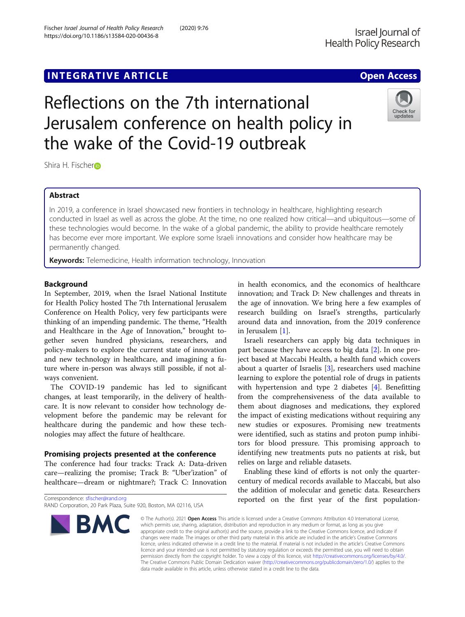## **INTEGRATIVE ARTICLE Example 20 and 20 and 20 and 20 and 20 and 20 and 20 and 20 and 20 and 20 and 20 and 20 and 20 and 20 and 20 and 20 and 20 and 20 and 20 and 20 and 20 and 20 and 20 and 20 and 20 and 20 and 20 and 20**

# Reflections on the 7th international Jerusalem conference on health policy in the wake of the Covid-19 outbreak

Shi[r](http://orcid.org/0000-0002-1124-4962)a H. Fischero

## Abstract

In 2019, a conference in Israel showcased new frontiers in technology in healthcare, highlighting research conducted in Israel as well as across the globe. At the time, no one realized how critical—and ubiquitous—some of these technologies would become. In the wake of a global pandemic, the ability to provide healthcare remotely has become ever more important. We explore some Israeli innovations and consider how healthcare may be permanently changed.

Keywords: Telemedicine, Health information technology, Innovation

## Background

In September, 2019, when the Israel National Institute for Health Policy hosted The 7th International Jerusalem Conference on Health Policy, very few participants were thinking of an impending pandemic. The theme, "Health and Healthcare in the Age of Innovation," brought together seven hundred physicians, researchers, and policy-makers to explore the current state of innovation and new technology in healthcare, and imagining a future where in-person was always still possible, if not always convenient.

The COVID-19 pandemic has led to significant changes, at least temporarily, in the delivery of healthcare. It is now relevant to consider how technology development before the pandemic may be relevant for healthcare during the pandemic and how these technologies may affect the future of healthcare.

## Promising projects presented at the conference

The conference had four tracks: Track A: Data-driven care—realizing the promise; Track B: "Uber'ization" of healthcare—dream or nightmare?; Track C: Innovation

**BMC** 

in health economics, and the economics of healthcare innovation; and Track D: New challenges and threats in the age of innovation. We bring here a few examples of research building on Israel's strengths, particularly around data and innovation, from the 2019 conference in Jerusalem [[1](#page-2-0)].

Israeli researchers can apply big data techniques in part because they have access to big data [\[2](#page-2-0)]. In one project based at Maccabi Health, a health fund which covers about a quarter of Israelis [[3\]](#page-2-0), researchers used machine learning to explore the potential role of drugs in patients with hypertension and type 2 diabetes [[4\]](#page-2-0). Benefitting from the comprehensiveness of the data available to them about diagnoses and medications, they explored the impact of existing medications without requiring any new studies or exposures. Promising new treatments were identified, such as statins and proton pump inhibitors for blood pressure. This promising approach to identifying new treatments puts no patients at risk, but relies on large and reliable datasets.

Enabling these kind of efforts is not only the quartercentury of medical records available to Maccabi, but also the addition of molecular and genetic data. Researchers reported on the first year of the first population-

© The Author(s), 2021 **Open Access** This article is licensed under a Creative Commons Attribution 4.0 International License, which permits use, sharing, adaptation, distribution and reproduction in any medium or format, as long as you give appropriate credit to the original author(s) and the source, provide a link to the Creative Commons licence, and indicate if changes were made. The images or other third party material in this article are included in the article's Creative Commons licence, unless indicated otherwise in a credit line to the material. If material is not included in the article's Creative Commons licence and your intended use is not permitted by statutory regulation or exceeds the permitted use, you will need to obtain permission directly from the copyright holder. To view a copy of this licence, visit [http://creativecommons.org/licenses/by/4.0/.](http://creativecommons.org/licenses/by/4.0/) The Creative Commons Public Domain Dedication waiver [\(http://creativecommons.org/publicdomain/zero/1.0/](http://creativecommons.org/publicdomain/zero/1.0/)) applies to the data made available in this article, unless otherwise stated in a credit line to the data.

RAND Corporation, 20 Park Plaza, Suite 920, Boston, MA 02116, USA





Correspondence: [sfischer@rand.org](mailto:sfischer@rand.org)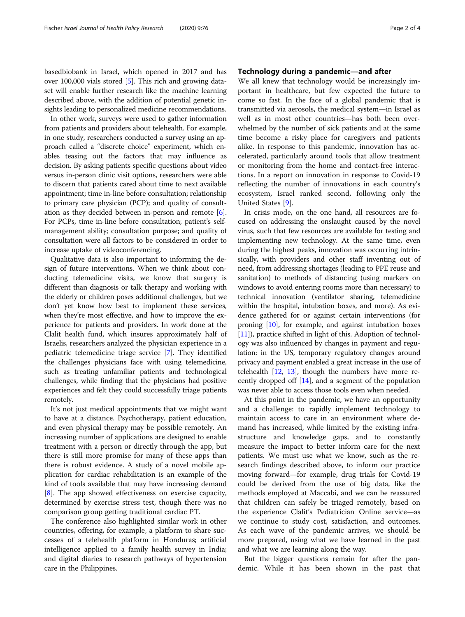basedbiobank in Israel, which opened in 2017 and has over 100,000 vials stored [\[5](#page-3-0)]. This rich and growing dataset will enable further research like the machine learning described above, with the addition of potential genetic insights leading to personalized medicine recommendations.

In other work, surveys were used to gather information from patients and providers about telehealth. For example, in one study, researchers conducted a survey using an approach called a "discrete choice" experiment, which enables teasing out the factors that may influence as decision. By asking patients specific questions about video versus in-person clinic visit options, researchers were able to discern that patients cared about time to next available appointment; time in-line before consultation; relationship to primary care physician (PCP); and quality of consultation as they decided between in-person and remote [[6](#page-3-0)]. For PCPs, time in-line before consultation; patient's selfmanagement ability; consultation purpose; and quality of consultation were all factors to be considered in order to increase uptake of videoconferencing.

Qualitative data is also important to informing the design of future interventions. When we think about conducting telemedicine visits, we know that surgery is different than diagnosis or talk therapy and working with the elderly or children poses additional challenges, but we don't yet know how best to implement these services, when they're most effective, and how to improve the experience for patients and providers. In work done at the Clalit health fund, which insures approximately half of Israelis, researchers analyzed the physician experience in a pediatric telemedicine triage service [\[7](#page-3-0)]. They identified the challenges physicians face with using telemedicine, such as treating unfamiliar patients and technological challenges, while finding that the physicians had positive experiences and felt they could successfully triage patients remotely.

It's not just medical appointments that we might want to have at a distance. Psychotherapy, patient education, and even physical therapy may be possible remotely. An increasing number of applications are designed to enable treatment with a person or directly through the app, but there is still more promise for many of these apps than there is robust evidence. A study of a novel mobile application for cardiac rehabilitation is an example of the kind of tools available that may have increasing demand [[8\]](#page-3-0). The app showed effectiveness on exercise capacity, determined by exercise stress test, though there was no comparison group getting traditional cardiac PT.

The conference also highlighted similar work in other countries, offering, for example, a platform to share successes of a telehealth platform in Honduras; artificial intelligence applied to a family health survey in India; and digital diaries to research pathways of hypertension care in the Philippines.

## Technology during a pandemic—and after

We all knew that technology would be increasingly important in healthcare, but few expected the future to come so fast. In the face of a global pandemic that is transmitted via aerosols, the medical system—in Israel as well as in most other countries—has both been overwhelmed by the number of sick patients and at the same time become a risky place for caregivers and patients alike. In response to this pandemic, innovation has accelerated, particularly around tools that allow treatment or monitoring from the home and contact-free interactions. In a report on innovation in response to Covid-19 reflecting the number of innovations in each country's ecosystem, Israel ranked second, following only the United States [[9\]](#page-3-0).

In crisis mode, on the one hand, all resources are focused on addressing the onslaught caused by the novel virus, such that few resources are available for testing and implementing new technology. At the same time, even during the highest peaks, innovation was occurring intrinsically, with providers and other staff inventing out of need, from addressing shortages (leading to PPE reuse and sanitation) to methods of distancing (using markers on windows to avoid entering rooms more than necessary) to technical innovation (ventilator sharing, telemedicine within the hospital, intubation boxes, and more). As evidence gathered for or against certain interventions (for proning [[10](#page-3-0)], for example, and against intubation boxes [[11](#page-3-0)]), practice shifted in light of this. Adoption of technology was also influenced by changes in payment and regulation: in the US, temporary regulatory changes around privacy and payment enabled a great increase in the use of telehealth  $[12, 13]$  $[12, 13]$  $[12, 13]$ , though the numbers have more recently dropped off [\[14\]](#page-3-0), and a segment of the population was never able to access those tools even when needed.

At this point in the pandemic, we have an opportunity and a challenge: to rapidly implement technology to maintain access to care in an environment where demand has increased, while limited by the existing infrastructure and knowledge gaps, and to constantly measure the impact to better inform care for the next patients. We must use what we know, such as the research findings described above, to inform our practice moving forward—for example, drug trials for Covid-19 could be derived from the use of big data, like the methods employed at Maccabi, and we can be reassured that children can safely be triaged remotely, based on the experience Clalit's Pediatrician Online service—as we continue to study cost, satisfaction, and outcomes. As each wave of the pandemic arrives, we should be more prepared, using what we have learned in the past and what we are learning along the way.

But the bigger questions remain for after the pandemic. While it has been shown in the past that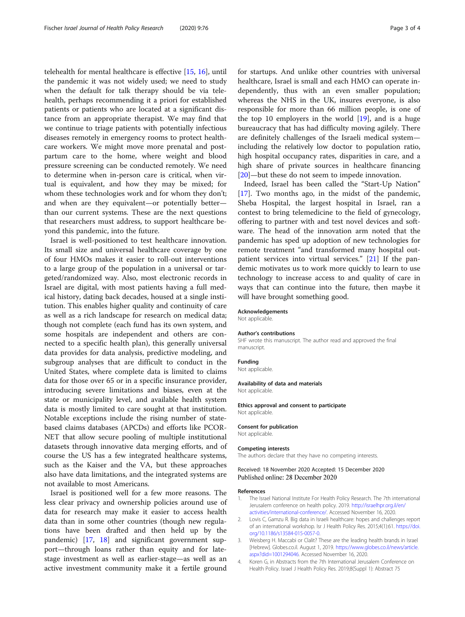<span id="page-2-0"></span>telehealth for mental healthcare is effective [[15](#page-3-0), [16](#page-3-0)], until the pandemic it was not widely used; we need to study when the default for talk therapy should be via telehealth, perhaps recommending it a priori for established patients or patients who are located at a significant distance from an appropriate therapist. We may find that we continue to triage patients with potentially infectious diseases remotely in emergency rooms to protect healthcare workers. We might move more prenatal and postpartum care to the home, where weight and blood pressure screening can be conducted remotely. We need to determine when in-person care is critical, when virtual is equivalent, and how they may be mixed; for whom these technologies work and for whom they don't; and when are they equivalent—or potentially better than our current systems. These are the next questions that researchers must address, to support healthcare beyond this pandemic, into the future.

Israel is well-positioned to test healthcare innovation. Its small size and universal healthcare coverage by one of four HMOs makes it easier to roll-out interventions to a large group of the population in a universal or targeted/randomized way. Also, most electronic records in Israel are digital, with most patients having a full medical history, dating back decades, housed at a single institution. This enables higher quality and continuity of care as well as a rich landscape for research on medical data; though not complete (each fund has its own system, and some hospitals are independent and others are connected to a specific health plan), this generally universal data provides for data analysis, predictive modeling, and subgroup analyses that are difficult to conduct in the United States, where complete data is limited to claims data for those over 65 or in a specific insurance provider, introducing severe limitations and biases, even at the state or municipality level, and available health system data is mostly limited to care sought at that institution. Notable exceptions include the rising number of statebased claims databases (APCDs) and efforts like PCOR-NET that allow secure pooling of multiple institutional datasets through innovative data merging efforts, and of course the US has a few integrated healthcare systems, such as the Kaiser and the VA, but these approaches also have data limitations, and the integrated systems are not available to most Americans.

Israel is positioned well for a few more reasons. The less clear privacy and ownership policies around use of data for research may make it easier to access health data than in some other countries (though new regulations have been drafted and then held up by the pandemic) [\[17](#page-3-0), [18\]](#page-3-0) and significant government support—through loans rather than equity and for latestage investment as well as earlier-stage—as well as an active investment community make it a fertile ground

for startups. And unlike other countries with universal healthcare, Israel is small and each HMO can operate independently, thus with an even smaller population; whereas the NHS in the UK, insures everyone, is also responsible for more than 66 million people, is one of the top 10 employers in the world  $[19]$  $[19]$  $[19]$ , and is a huge bureaucracy that has had difficulty moving agilely. There are definitely challenges of the Israeli medical system including the relatively low doctor to population ratio, high hospital occupancy rates, disparities in care, and a high share of private sources in healthcare financing [[20\]](#page-3-0)—but these do not seem to impede innovation.

Indeed, Israel has been called the "Start-Up Nation" [[17\]](#page-3-0). Two months ago, in the midst of the pandemic, Sheba Hospital, the largest hospital in Israel, ran a contest to bring telemedicine to the field of gynecology, offering to partner with and test novel devices and software. The head of the innovation arm noted that the pandemic has sped up adoption of new technologies for remote treatment "and transformed many hospital out-patient services into virtual services." [[21\]](#page-3-0) If the pandemic motivates us to work more quickly to learn to use technology to increase access to and quality of care in ways that can continue into the future, then maybe it will have brought something good.

#### Acknowledgements

Not applicable.

## Author's contributions

SHF wrote this manuscript. The author read and approved the final manuscript.

#### Funding

Not applicable.

#### Availability of data and materials

Not applicable.

Ethics approval and consent to participate Not applicable.

#### Consent for publication

Not applicable.

#### Competing interests

The authors declare that they have no competing interests.

#### Received: 18 November 2020 Accepted: 15 December 2020 Published online: 28 December 2020

#### References

- 1. The Israel National Institute For Health Policy Research. The 7th international Jerusalem conference on health policy. 2019. [http://israelhpr.org.il/en/](http://israelhpr.org.il/en/activities/international-conference/) [activities/international-conference/](http://israelhpr.org.il/en/activities/international-conference/). Accessed November 16, 2020.
- 2. Lovis C, Gamzu R. Big data in Israeli healthcare: hopes and challenges report of an international workshop. Isr J Health Policy Res. 2015;4(1):61. [https://doi.](https://doi.org/10.1186/s13584-015-0057-0) [org/10.1186/s13584-015-0057-0](https://doi.org/10.1186/s13584-015-0057-0).
- 3. Weisberg H. Maccabi or Clalit? These are the leading health brands in Israel [Hebrew]. Globes.co.il. August 1, 2019. [https://www.globes.co.il/news/article.](https://www.globes.co.il/news/article.aspx?did=1001294046) [aspx?did=1001294046.](https://www.globes.co.il/news/article.aspx?did=1001294046) Accessed November 16, 2020.
- 4. Koren G, in Abstracts from the 7th International Jerusalem Conference on Health Policy. Israel J Health Policy Res. 2019;8(Suppl 1): Abstract 75